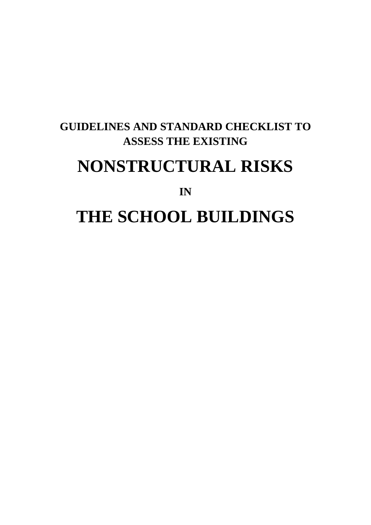### **GUIDELINES AND STANDARD CHECKLIST TO ASSESS THE EXISTING**

## **NONSTRUCTURAL RISKS**

**IN**

# **THE SCHOOL BUILDINGS**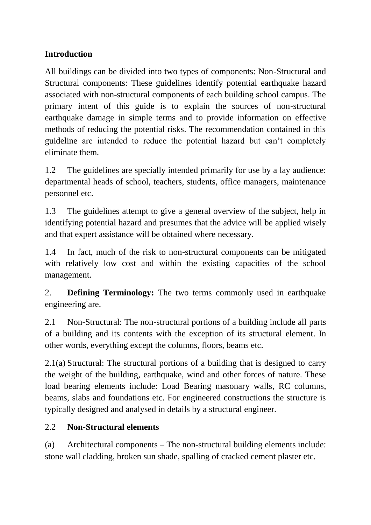#### **Introduction**

All buildings can be divided into two types of components: Non-Structural and Structural components: These guidelines identify potential earthquake hazard associated with non-structural components of each building school campus. The primary intent of this guide is to explain the sources of non-structural earthquake damage in simple terms and to provide information on effective methods of reducing the potential risks. The recommendation contained in this guideline are intended to reduce the potential hazard but can't completely eliminate them.

1.2 The guidelines are specially intended primarily for use by a lay audience: departmental heads of school, teachers, students, office managers, maintenance personnel etc.

1.3 The guidelines attempt to give a general overview of the subject, help in identifying potential hazard and presumes that the advice will be applied wisely and that expert assistance will be obtained where necessary.

1.4 In fact, much of the risk to non-structural components can be mitigated with relatively low cost and within the existing capacities of the school management.

2. **Defining Terminology:** The two terms commonly used in earthquake engineering are.

2.1 Non-Structural: The non-structural portions of a building include all parts of a building and its contents with the exception of its structural element. In other words, everything except the columns, floors, beams etc.

2.1(a) Structural: The structural portions of a building that is designed to carry the weight of the building, earthquake, wind and other forces of nature. These load bearing elements include: Load Bearing masonary walls, RC columns, beams, slabs and foundations etc. For engineered constructions the structure is typically designed and analysed in details by a structural engineer.

#### 2.2 **Non-Structural elements**

(a) Architectural components – The non-structural building elements include: stone wall cladding, broken sun shade, spalling of cracked cement plaster etc.